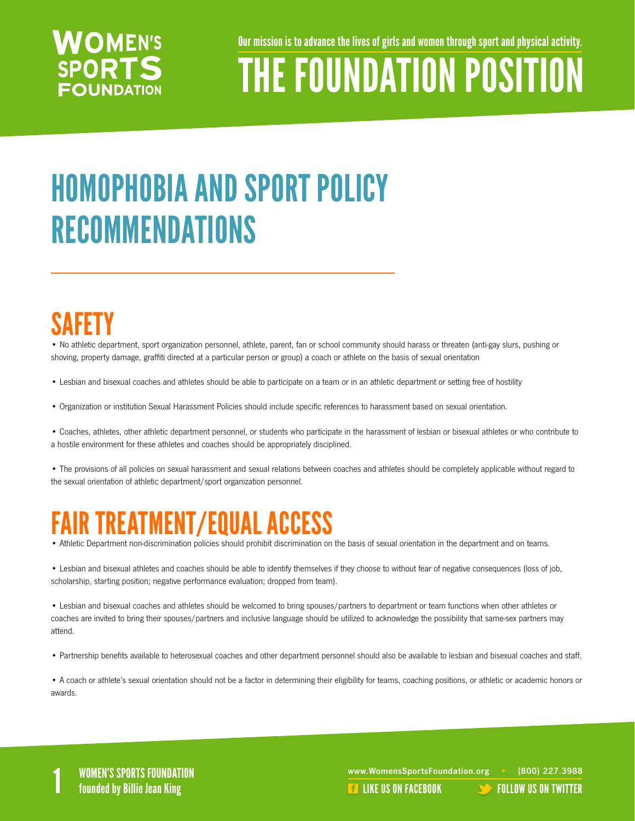#### **WOMEN'S SPORTS FOUNDATION**

Our mission is to advance the lives of girls and women through sport and physical activity.

# THE FOUNDATION POSITION

## HOMOPHOBIA AND SPORT POLICY RECOMMENDATIONS

### SAFETY

• No athletic department, sport organization personnel, athlete, parent, fan or school community should harass or threaten (anti-gay slurs, pushing or shoving, property damage, graffiti directed at a particular person or group) a coach or athlete on the basis of sexual orientation

- Lesbian and bisexual coaches and athletes should be able to participate on a team or in an athletic department or setting free of hostility
- Organization or institution Sexual Harassment Policies should include specific references to harassment based on sexual orientation.
- Coaches, athletes, other athletic department personnel, or students who participate in the harassment of lesbian or bisexual athletes or who contribute to a hostile environment for these athletes and coaches should be appropriately disciplined.

• The provisions of all policies on sexual harassment and sexual relations between coaches and athletes should be completely applicable without regard to the sexual orientation of athletic department/sport organization personnel.

#### FAIR TREATMENT/EQUAL ACCESS

- Athletic Department non-discrimination policies should prohibit discrimination on the basis of sexual orientation in the department and on teams.
- Lesbian and bisexual athletes and coaches should be able to identify themselves if they choose to without fear of negative consequences (loss of job, scholarship, starting position; negative performance evaluation; dropped from team).

• Lesbian and bisexual coaches and athletes should be welcomed to bring spouses/partners to department or team functions when other athletes or coaches are invited to bring their spouses/partners and inclusive language should be utilized to acknowledge the possibility that same-sex partners may attend.

• Partnership benefits available to heterosexual coaches and other department personnel should also be available to lesbian and bisexual coaches and staff.

• A coach or athlete's sexual orientation should not be a factor in determining their eligibility for teams, coaching positions, or athletic or academic honors or awards.

WOMEN'S SPORTS FOUNDATION www.WomensSportsFoundation.org • (800) 227.3988<br>1 founded by Billie Jean King the state of the state of the state of the US ON FACEBOOK founded by Billie Jean **REA[LIKE US ON FACEBOOK](https://www.facebook.com/WomensSportsFoundation) [FOLLOW US ON TWITTER](http://twitter.com/#!/womenssportsfdn)**